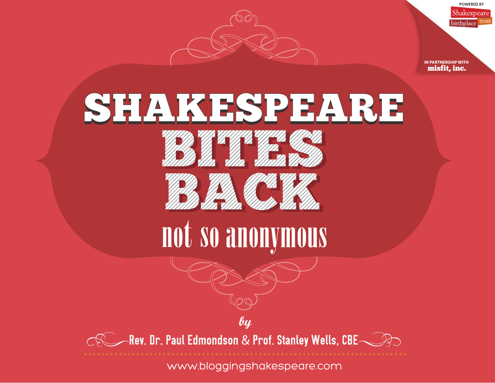



**POWERED BY** 

**IN PARTNERSHIP WITH** [misfit, inc.](http://misfit-inc.com)



[WWW.BLOGGINGSHAKESPEARE.COM](http://bloggingshakespeare.com) [www.bloggingshakespeare.com](http://bloggingshakespeare.com)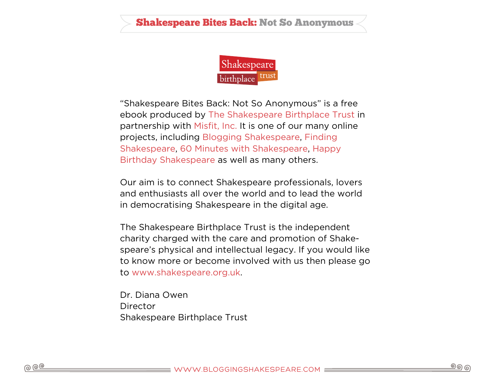

"Shakespeare Bites Back: Not So Anonymous" is a free ebook produced by [The Shakespeare Birthplace Trust](http://www.shakespeare.org.uk) in partnership with [Misfit, Inc.](http://misfit-inc.com) It is one of our many online projects, including [Blogging Shakespeare,](http://bloggingshakespeare.com) [Finding](http://findingshakespeare.co.uk)  [Shakespeare,](http://findingshakespeare.co.uk) [60 Minutes with Shakespeare](http://60minuteswithshakespeare.com), [Happy](http://happybirthdayshakespeare.com)  [Birthday Shakespeare](http://happybirthdayshakespeare.com) as well as many others.

Our aim is to connect Shakespeare professionals, lovers and enthusiasts all over the world and to lead the world in democratising Shakespeare in the digital age.

The Shakespeare Birthplace Trust is the independent charity charged with the care and promotion of Shakespeare's physical and intellectual legacy. If you would like to know more or become involved with us then please go to [www.shakespeare.org.uk.](http://www.shakespeare.org.uk)

Dr. Diana Owen **Director** Shakespeare Birthplace Trust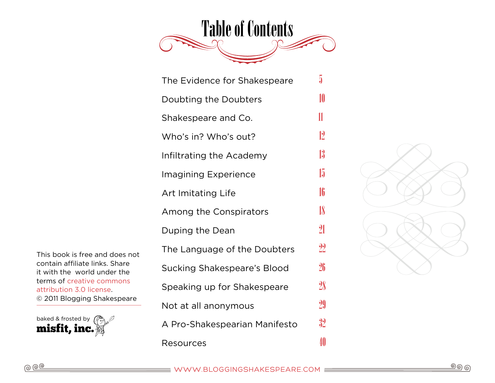

| The Evidence for Shakespeare  | 5  |
|-------------------------------|----|
| Doubting the Doubters         | 10 |
| Shakespeare and Co.           | 11 |
| Who's in? Who's out?          | 12 |
| Infiltrating the Academy      | 13 |
| Imagining Experience          | 15 |
| <b>Art Imitating Life</b>     | 16 |
| Among the Conspirators        | 18 |
| Duping the Dean               | 21 |
| The Language of the Doubters  | 22 |
| Sucking Shakespeare's Blood   | 26 |
| Speaking up for Shakespeare   | 28 |
| Not at all anonymous          | 29 |
| A Pro-Shakespearian Manifesto | 32 |
| <b>Resources</b>              | 40 |



This book is free and does not contain affiliate links. Share it with the world under the terms of [creative commons](http://creativecommons.org/licenses/by/3.0/)  [attribution 3.0 license.](http://creativecommons.org/licenses/by/3.0/) © 2011 Blogging Shakespeare

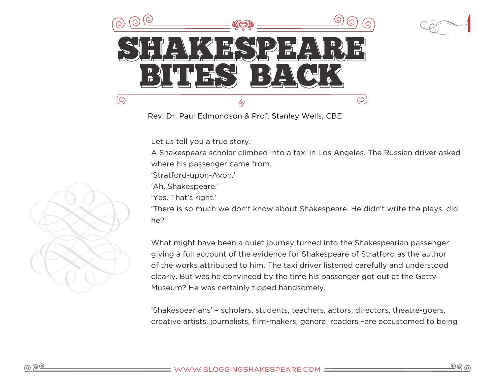

Rev. Dr. Paul Edmondson & Prof. Stanley Wells, CBE

Let us tell you a true story.

A Shakespeare scholar climbed into a taxi in Los Angeles. The Russian driver asked where his passenger came from.

'Stratford-upon-Avon.'

'Ah, Shakespeare.'

'Yes. That's right.'

'There is so much we don't know about Shakespeare. He didn't write the plays, did he?'

What might have been a quiet journey turned into the Shakespearian passenger giving a full account of the evidence for Shakespeare of Stratford as the author of the works attributed to him. The taxi driver listened carefully and understood clearly. But was he convinced by the time his passenger got out at the Getty Museum? He was certainly tipped handsomely.

'Shakespearians' – scholars, students, teachers, actors, directors, theatre-goers, creative artists, journalists, film-makers, general readers –are accustomed to being

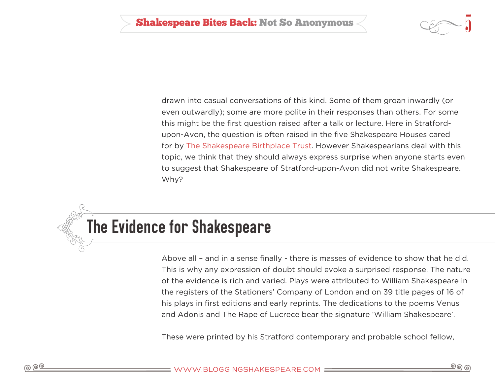

<span id="page-4-0"></span>drawn into casual conversations of this kind. Some of them groan inwardly (or even outwardly); some are more polite in their responses than others. For some this might be the first question raised after a talk or lecture. Here in Stratfordupon-Avon, the question is often raised in the five Shakespeare Houses cared for by [The Shakespeare Birthplace Trust.](http://www.shakespeare.org.uk) However Shakespearians deal with this topic, we think that they should always express surprise when anyone starts even to suggest that Shakespeare of Stratford-upon-Avon did not write Shakespeare. Why?

# The Evidence for Shakespeare

Above all – and in a sense finally - there is masses of evidence to show that he did. This is why any expression of doubt should evoke a surprised response. The nature of the evidence is rich and varied. Plays were attributed to William Shakespeare in the registers of the Stationers' Company of London and on 39 title pages of 16 of his plays in first editions and early reprints. The dedications to the poems Venus and Adonis and The Rape of Lucrece bear the signature 'William Shakespeare'.

These were printed by his Stratford contemporary and probable school fellow,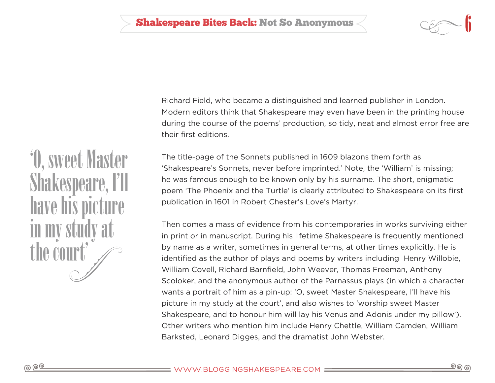Richard Field, who became a distinguished and learned publisher in London. Modern editors think that Shakespeare may even have been in the printing house during the course of the poems' production, so tidy, neat and almost error free are their first editions.

The title-page of the Sonnets published in 1609 blazons them forth as 'Shakespeare's Sonnets, never before imprinted.' Note, the 'William' is missing; he was famous enough to be known only by his surname. The short, enigmatic poem 'The Phoenix and the Turtle' is clearly attributed to Shakespeare on its first publication in 1601 in Robert Chester's Love's Martyr.

Then comes a mass of evidence from his contemporaries in works surviving either in print or in manuscript. During his lifetime Shakespeare is frequently mentioned by name as a writer, sometimes in general terms, at other times explicitly. He is identified as the author of plays and poems by writers including Henry Willobie, William Covell, Richard Barnfield, John Weever, Thomas Freeman, Anthony Scoloker, and the anonymous author of the Parnassus plays (in which a character wants a portrait of him as a pin-up: 'O, sweet Master Shakespeare, I'll have his picture in my study at the court', and also wishes to 'worship sweet Master Shakespeare, and to honour him will lay his Venus and Adonis under my pillow'). Other writers who mention him include Henry Chettle, William Camden, William Barksted, Leonard Digges, and the dramatist John Webster.

'O, sweet Master Shakespeare, I'll have his pic in my study at the cour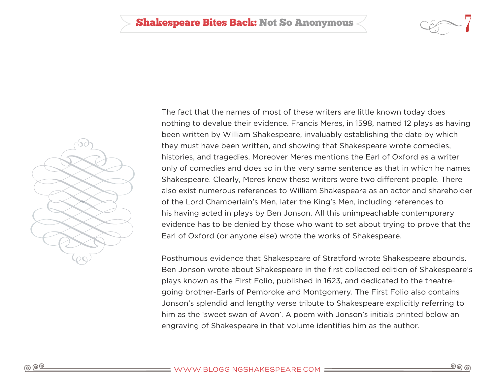

ூ ெ



The fact that the names of most of these writers are little known today does nothing to devalue their evidence. Francis Meres, in 1598, named 12 plays as having been written by William Shakespeare, invaluably establishing the date by which they must have been written, and showing that Shakespeare wrote comedies, histories, and tragedies. Moreover Meres mentions the Earl of Oxford as a writer only of comedies and does so in the very same sentence as that in which he names Shakespeare. Clearly, Meres knew these writers were two different people. There also exist numerous references to William Shakespeare as an actor and shareholder of the Lord Chamberlain's Men, later the King's Men, including references to his having acted in plays by Ben Jonson. All this unimpeachable contemporary evidence has to be denied by those who want to set about trying to prove that the Earl of Oxford (or anyone else) wrote the works of Shakespeare.

Posthumous evidence that Shakespeare of Stratford wrote Shakespeare abounds. Ben Jonson wrote about Shakespeare in the first collected edition of Shakespeare's plays known as the First Folio, published in 1623, and dedicated to the theatregoing brother-Earls of Pembroke and Montgomery. The First Folio also contains Jonson's splendid and lengthy verse tribute to Shakespeare explicitly referring to him as the 'sweet swan of Avon'. A poem with Jonson's initials printed below an engraving of Shakespeare in that volume identifies him as the author.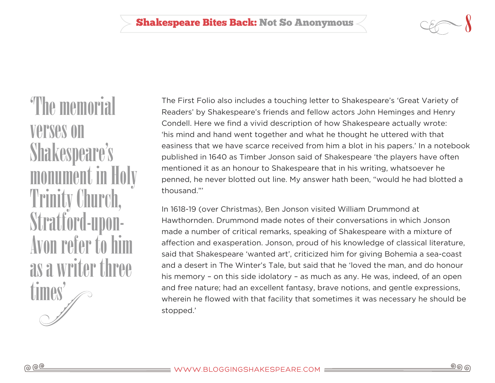'The memorial verses on Shakespeare's monument in Trinity Church, **Stratford-up** Avon refer to as a writer three times'

The First Folio also includes a touching letter to Shakespeare's 'Great Variety of Readers' by Shakespeare's friends and fellow actors John Heminges and Henry Condell. Here we find a vivid description of how Shakespeare actually wrote: 'his mind and hand went together and what he thought he uttered with that easiness that we have scarce received from him a blot in his papers.' In a notebook published in 1640 as Timber Jonson said of Shakespeare 'the players have often mentioned it as an honour to Shakespeare that in his writing, whatsoever he penned, he never blotted out line. My answer hath been, "would he had blotted a thousand."'

In 1618-19 (over Christmas), Ben Jonson visited William Drummond at Hawthornden. Drummond made notes of their conversations in which Jonson made a number of critical remarks, speaking of Shakespeare with a mixture of affection and exasperation. Jonson, proud of his knowledge of classical literature, said that Shakespeare 'wanted art', criticized him for giving Bohemia a sea-coast and a desert in The Winter's Tale, but said that he 'loved the man, and do honour his memory – on this side idolatory – as much as any. He was, indeed, of an open and free nature; had an excellent fantasy, brave notions, and gentle expressions, wherein he flowed with that facility that sometimes it was necessary he should be stopped.'

ூ ெ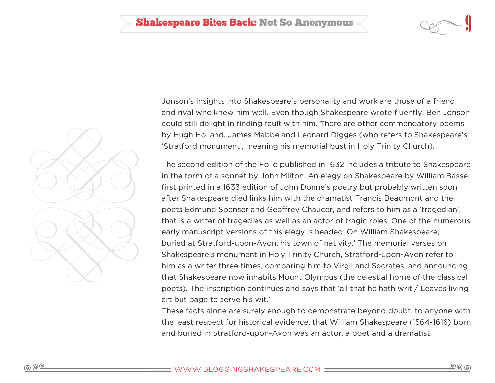



Jonson's insights into Shakespeare's personality and work are those of a friend and rival who knew him well. Even though Shakespeare wrote fluently, Ben Jonson could still delight in finding fault with him. There are other commendatory poems by Hugh Holland, James Mabbe and Leonard Digges (who refers to Shakespeare's 'Stratford monument', meaning his memorial bust in Holy Trinity Church).

The second edition of the Folio published in 1632 includes a tribute to Shakespeare in the form of a sonnet by John Milton. An elegy on Shakespeare by William Basse first printed in a 1633 edition of John Donne's poetry but probably written soon after Shakespeare died links him with the dramatist Francis Beaumont and the poets Edmund Spenser and Geoffrey Chaucer, and refers to him as a 'tragedian', that is a writer of tragedies as well as an actor of tragic roles. One of the numerous early manuscript versions of this elegy is headed 'On William Shakespeare, buried at Stratford-upon-Avon, his town of nativity.' The memorial verses on Shakespeare's monument in Holy Trinity Church, Stratford-upon-Avon refer to him as a writer three times, comparing him to Virgil and Socrates, and announcing that Shakespeare now inhabits Mount Olympus (the celestial home of the classical poets). The inscription continues and says that 'all that he hath writ / Leaves living art but page to serve his wit.'

These facts alone are surely enough to demonstrate beyond doubt, to anyone with the least respect for historical evidence, that William Shakespeare (1564-1616) born and buried in Stratford-upon-Avon was an actor, a poet and a dramatist.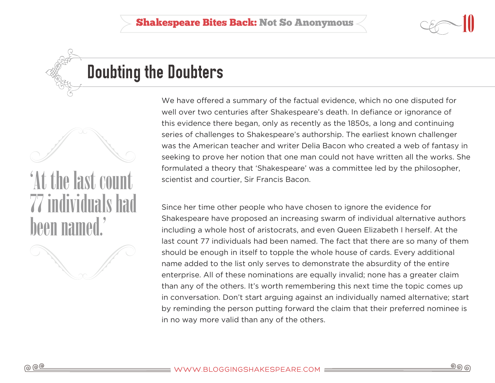

## <span id="page-9-0"></span>Doubting the Doubters

'At the last count 77 individuals had been named.'



We have offered a summary of the factual evidence, which no one disputed for well over two centuries after Shakespeare's death. In defiance or ignorance of this evidence there began, only as recently as the 1850s, a long and continuing series of challenges to Shakespeare's authorship. The earliest known challenger was the American teacher and writer Delia Bacon who created a web of fantasy in seeking to prove her notion that one man could not have written all the works. She formulated a theory that 'Shakespeare' was a committee led by the philosopher, scientist and courtier, Sir Francis Bacon.

Since her time other people who have chosen to ignore the evidence for Shakespeare have proposed an increasing swarm of individual alternative authors including a whole host of aristocrats, and even Queen Elizabeth I herself. At the last count 77 individuals had been named. The fact that there are so many of them should be enough in itself to topple the whole house of cards. Every additional name added to the list only serves to demonstrate the absurdity of the entire enterprise. All of these nominations are equally invalid; none has a greater claim than any of the others. It's worth remembering this next time the topic comes up in conversation. Don't start arguing against an individually named alternative; start by reminding the person putting forward the claim that their preferred nominee is in no way more valid than any of the others.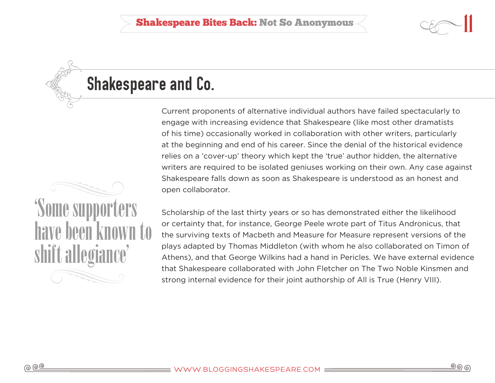# <span id="page-10-0"></span>Shakespeare and Co.

Current proponents of alternative individual authors have failed spectacularly to engage with increasing evidence that Shakespeare (like most other dramatists of his time) occasionally worked in collaboration with other writers, particularly at the beginning and end of his career. Since the denial of the historical evidence relies on a 'cover-up' theory which kept the 'true' author hidden, the alternative writers are required to be isolated geniuses working on their own. Any case against Shakespeare falls down as soon as Shakespeare is understood as an honest and open collaborator.

Scholarship of the last thirty years or so has demonstrated either the likelihood or certainty that, for instance, George Peele wrote part of Titus Andronicus, that the surviving texts of Macbeth and Measure for Measure represent versions of the plays adapted by Thomas Middleton (with whom he also collaborated on Timon of Athens), and that George Wilkins had a hand in Pericles. We have external evidence that Shakespeare collaborated with John Fletcher on The Two Noble Kinsmen and strong internal evidence for their joint authorship of All is True (Henry VIII).

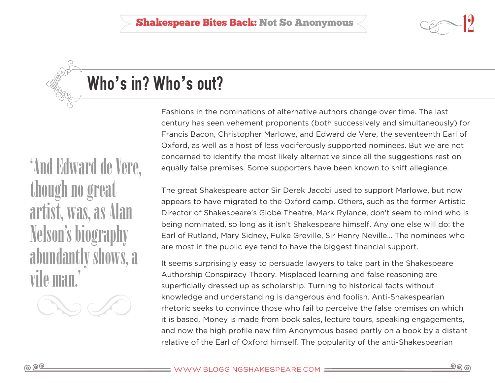# <span id="page-11-0"></span>Who**'**s in? Who**'**s out?

Fashions in the nominations of alternative authors change over time. The last century has seen vehement proponents (both successively and simultaneously) for Francis Bacon, Christopher Marlowe, and Edward de Vere, the seventeenth Earl of Oxford, as well as a host of less vociferously supported nominees. But we are not concerned to identify the most likely alternative since all the suggestions rest on equally false premises. Some supporters have been known to shift allegiance.

The great Shakespeare actor Sir Derek Jacobi used to support Marlowe, but now appears to have migrated to the Oxford camp. Others, such as the former Artistic Director of Shakespeare's Globe Theatre, Mark Rylance, don't seem to mind who is being nominated, so long as it isn't Shakespeare himself. Any one else will do: the Earl of Rutland, Mary Sidney, Fulke Greville, Sir Henry Neville… The nominees who are most in the public eye tend to have the biggest financial support.

It seems surprisingly easy to persuade lawyers to take part in the Shakespeare Authorship Conspiracy Theory. Misplaced learning and false reasoning are superficially dressed up as scholarship. Turning to historical facts without knowledge and understanding is dangerous and foolish. Anti-Shakespearian rhetoric seeks to convince those who fail to perceive the false premises on which it is based. Money is made from book sales, lecture tours, speaking engagements, and now the high profile new film Anonymous based partly on a book by a distant relative of the Earl of Oxford himself. The popularity of the anti-Shakespearian

'And Edward de Vere, though no great artist, was, as Alan Nelson's biograp abundantly sh vile man.'

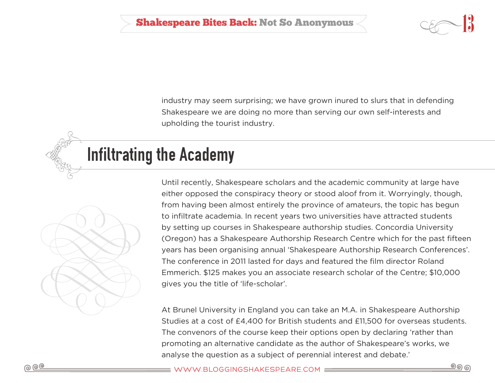

industry may seem surprising; we have grown inured to slurs that in defending Shakespeare we are doing no more than serving our own self-interests and upholding the tourist industry.

### <span id="page-12-0"></span>Infiltrating the Academy



Until recently, Shakespeare scholars and the academic community at large have either opposed the conspiracy theory or stood aloof from it. Worryingly, though, from having been almost entirely the province of amateurs, the topic has begun to infiltrate academia. In recent years two universities have attracted students by setting up courses in Shakespeare authorship studies. Concordia University (Oregon) has a Shakespeare Authorship Research Centre which for the past fifteen years has been organising annual 'Shakespeare Authorship Research Conferences'. The conference in 2011 lasted for days and featured the film director Roland Emmerich. \$125 makes you an associate research scholar of the Centre; \$10,000 gives you the title of 'life-scholar'.

At Brunel University in England you can take an M.A. in Shakespeare Authorship Studies at a cost of £4,400 for British students and £11,500 for overseas students. The convenors of the course keep their options open by declaring 'rather than promoting an alternative candidate as the author of Shakespeare's works, we analyse the question as a subject of perennial interest and debate.'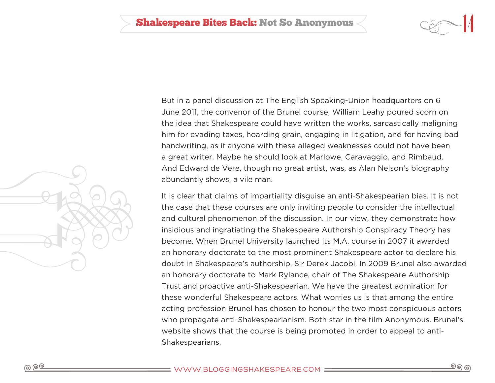



But in a panel discussion at The English Speaking-Union headquarters on 6 June 2011, the convenor of the Brunel course, William Leahy poured scorn on the idea that Shakespeare could have written the works, sarcastically maligning him for evading taxes, hoarding grain, engaging in litigation, and for having bad handwriting, as if anyone with these alleged weaknesses could not have been a great writer. Maybe he should look at Marlowe, Caravaggio, and Rimbaud. And Edward de Vere, though no great artist, was, as Alan Nelson's biography abundantly shows, a vile man.

It is clear that claims of impartiality disguise an anti-Shakespearian bias. It is not the case that these courses are only inviting people to consider the intellectual and cultural phenomenon of the discussion. In our view, they demonstrate how insidious and ingratiating the Shakespeare Authorship Conspiracy Theory has become. When Brunel University launched its M.A. course in 2007 it awarded an honorary doctorate to the most prominent Shakespeare actor to declare his doubt in Shakespeare's authorship, Sir Derek Jacobi. In 2009 Brunel also awarded an honorary doctorate to Mark Rylance, chair of The Shakespeare Authorship Trust and proactive anti-Shakespearian. We have the greatest admiration for these wonderful Shakespeare actors. What worries us is that among the entire acting profession Brunel has chosen to honour the two most conspicuous actors who propagate anti-Shakespearianism. Both star in the film Anonymous. Brunel's website shows that the course is being promoted in order to appeal to anti-Shakespearians.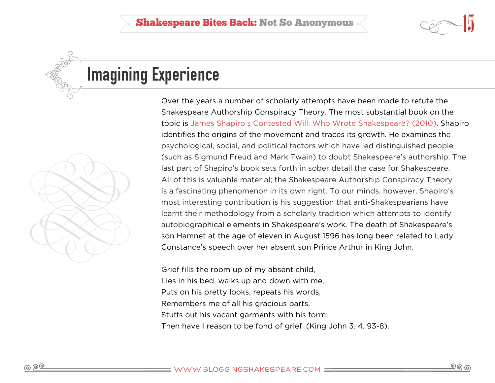

# <span id="page-14-0"></span>Imagining Experience

![](_page_14_Picture_3.jpeg)

Over the years a number of scholarly attempts have been made to refute the Shakespeare Authorship Conspiracy Theory. The most substantial book on the topic is [James Shapiro's Contested Will: Who Wrote Shakespeare? \(2010\)](http://www.amazon.com/Contested-Will-Who-Wrote-Shakespeare/dp/1416541624). Shapiro identifies the origins of the movement and traces its growth. He examines the psychological, social, and political factors which have led distinguished people (such as Sigmund Freud and Mark Twain) to doubt Shakespeare's authorship. The last part of Shapiro's book sets forth in sober detail the case for Shakespeare. All of this is valuable material; the Shakespeare Authorship Conspiracy Theory is a fascinating phenomenon in its own right. To our minds, however, Shapiro's most interesting contribution is his suggestion that anti-Shakespearians have learnt their methodology from a scholarly tradition which attempts to identify autobiographical elements in Shakespeare's work. The death of Shakespeare's son Hamnet at the age of eleven in August 1596 has long been related to Lady Constance's speech over her absent son Prince Arthur in King John.

Grief fills the room up of my absent child, Lies in his bed, walks up and down with me, Puts on his pretty looks, repeats his words, Remembers me of all his gracious parts, Stuffs out his vacant garments with his form; Then have I reason to be fond of grief. (King John 3. 4. 93-8).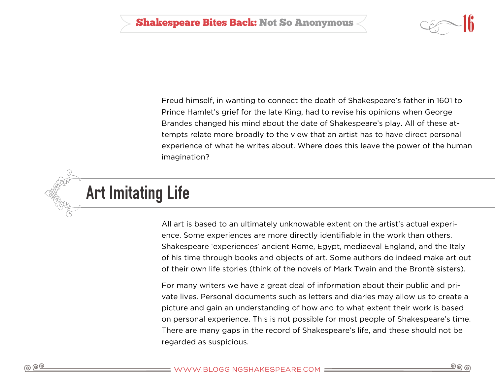![](_page_15_Picture_1.jpeg)

Freud himself, in wanting to connect the death of Shakespeare's father in 1601 to Prince Hamlet's grief for the late King, had to revise his opinions when George Brandes changed his mind about the date of Shakespeare's play. All of these attempts relate more broadly to the view that an artist has to have direct personal experience of what he writes about. Where does this leave the power of the human imagination?

<span id="page-15-0"></span>![](_page_15_Picture_3.jpeg)

All art is based to an ultimately unknowable extent on the artist's actual experience. Some experiences are more directly identifiable in the work than others. Shakespeare 'experiences' ancient Rome, Egypt, mediaeval England, and the Italy of his time through books and objects of art. Some authors do indeed make art out of their own life stories (think of the novels of Mark Twain and the Brontë sisters).

For many writers we have a great deal of information about their public and private lives. Personal documents such as letters and diaries may allow us to create a picture and gain an understanding of how and to what extent their work is based on personal experience. This is not possible for most people of Shakespeare's time. There are many gaps in the record of Shakespeare's life, and these should not be regarded as suspicious.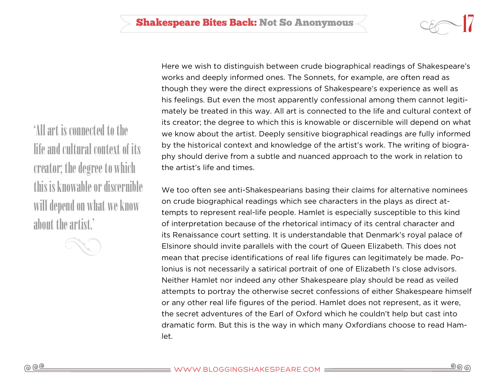'All art is connected to the life and cultural context of its creator; the degree to which this is knowable or discernible will depend on what we know about the artist.'

![](_page_16_Picture_2.jpeg)

Here we wish to distinguish between crude biographical readings of Shakespeare's works and deeply informed ones. The Sonnets, for example, are often read as though they were the direct expressions of Shakespeare's experience as well as his feelings. But even the most apparently confessional among them cannot legitimately be treated in this way. All art is connected to the life and cultural context of its creator; the degree to which this is knowable or discernible will depend on what we know about the artist. Deeply sensitive biographical readings are fully informed by the historical context and knowledge of the artist's work. The writing of biography should derive from a subtle and nuanced approach to the work in relation to the artist's life and times.

We too often see anti-Shakespearians basing their claims for alternative nominees on crude biographical readings which see characters in the plays as direct attempts to represent real-life people. Hamlet is especially susceptible to this kind of interpretation because of the rhetorical intimacy of its central character and its Renaissance court setting. It is understandable that Denmark's royal palace of Elsinore should invite parallels with the court of Queen Elizabeth. This does not mean that precise identifications of real life figures can legitimately be made. Polonius is not necessarily a satirical portrait of one of Elizabeth I's close advisors. Neither Hamlet nor indeed any other Shakespeare play should be read as veiled attempts to portray the otherwise secret confessions of either Shakespeare himself or any other real life figures of the period. Hamlet does not represent, as it were, the secret adventures of the Earl of Oxford which he couldn't help but cast into dramatic form. But this is the way in which many Oxfordians choose to read Hamlet.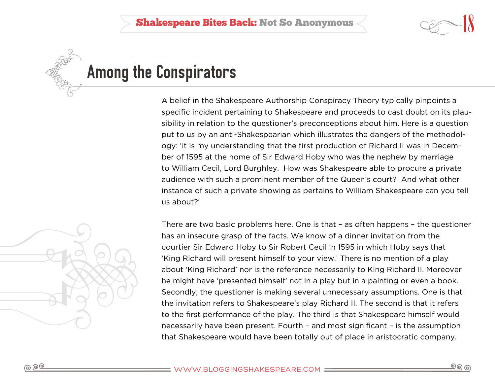![](_page_17_Picture_1.jpeg)

### <span id="page-17-0"></span>Among the Conspirators

A belief in the Shakespeare Authorship Conspiracy Theory typically pinpoints a specific incident pertaining to Shakespeare and proceeds to cast doubt on its plausibility in relation to the questioner's preconceptions about him. Here is a question put to us by an anti-Shakespearian which illustrates the dangers of the methodology: 'it is my understanding that the first production of Richard II was in December of 1595 at the home of Sir Edward Hoby who was the nephew by marriage to William Cecil, Lord Burghley. How was Shakespeare able to procure a private audience with such a prominent member of the Queen's court? And what other instance of such a private showing as pertains to William Shakespeare can you tell us about?'

![](_page_17_Picture_4.jpeg)

There are two basic problems here. One is that – as often happens – the questioner has an insecure grasp of the facts. We know of a dinner invitation from the courtier Sir Edward Hoby to Sir Robert Cecil in 1595 in which Hoby says that 'King Richard will present himself to your view.' There is no mention of a play about 'King Richard' nor is the reference necessarily to King Richard II. Moreover he might have 'presented himself' not in a play but in a painting or even a book. Secondly, the questioner is making several unnecessary assumptions. One is that the invitation refers to Shakespeare's play Richard II. The second is that it refers to the first performance of the play. The third is that Shakespeare himself would necessarily have been present. Fourth – and most significant – is the assumption that Shakespeare would have been totally out of place in aristocratic company.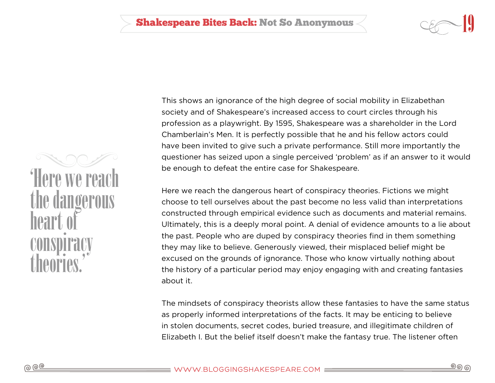![](_page_18_Picture_1.jpeg)

'Here we reach the dang heart of conspiracy theories.'

This shows an ignorance of the high degree of social mobility in Elizabethan society and of Shakespeare's increased access to court circles through his profession as a playwright. By 1595, Shakespeare was a shareholder in the Lord Chamberlain's Men. It is perfectly possible that he and his fellow actors could have been invited to give such a private performance. Still more importantly the questioner has seized upon a single perceived 'problem' as if an answer to it would be enough to defeat the entire case for Shakespeare.

Here we reach the dangerous heart of conspiracy theories. Fictions we might choose to tell ourselves about the past become no less valid than interpretations constructed through empirical evidence such as documents and material remains. Ultimately, this is a deeply moral point. A denial of evidence amounts to a lie about the past. People who are duped by conspiracy theories find in them something they may like to believe. Generously viewed, their misplaced belief might be excused on the grounds of ignorance. Those who know virtually nothing about the history of a particular period may enjoy engaging with and creating fantasies about it.

The mindsets of conspiracy theorists allow these fantasies to have the same status as properly informed interpretations of the facts. It may be enticing to believe in stolen documents, secret codes, buried treasure, and illegitimate children of Elizabeth I. But the belief itself doesn't make the fantasy true. The listener often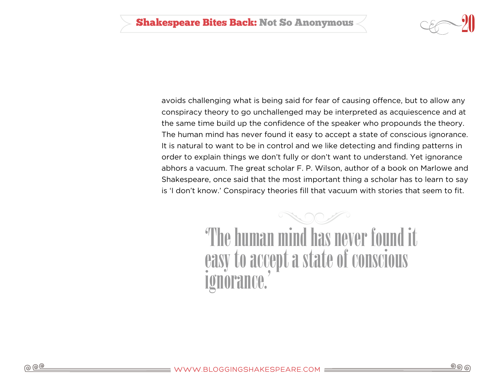![](_page_19_Picture_1.jpeg)

avoids challenging what is being said for fear of causing offence, but to allow any conspiracy theory to go unchallenged may be interpreted as acquiescence and at the same time build up the confidence of the speaker who propounds the theory. The human mind has never found it easy to accept a state of conscious ignorance. It is natural to want to be in control and we like detecting and finding patterns in order to explain things we don't fully or don't want to understand. Yet ignorance abhors a vacuum. The great scholar F. P. Wilson, author of a book on Marlowe and Shakespeare, once said that the most important thing a scholar has to learn to say is 'I don't know.' Conspiracy theories fill that vacuum with stories that seem to fit.

> 'The human mind has never found it easy to accept a state of conscious ignorance.'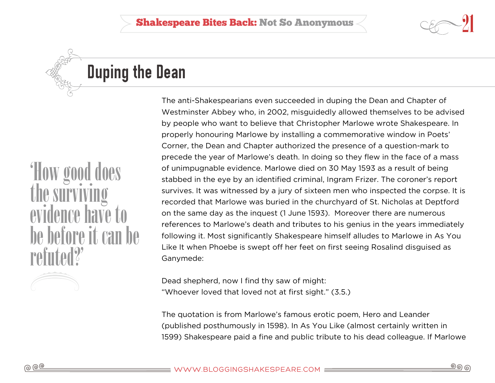![](_page_20_Picture_1.jpeg)

# <span id="page-20-0"></span>Duping the Dean

'How good the survivi evidence have to be before it can be refuted?'

The anti-Shakespearians even succeeded in duping the Dean and Chapter of Westminster Abbey who, in 2002, misguidedly allowed themselves to be advised by people who want to believe that Christopher Marlowe wrote Shakespeare. In properly honouring Marlowe by installing a commemorative window in Poets' Corner, the Dean and Chapter authorized the presence of a question-mark to precede the year of Marlowe's death. In doing so they flew in the face of a mass of unimpugnable evidence. Marlowe died on 30 May 1593 as a result of being stabbed in the eye by an identified criminal, Ingram Frizer. The coroner's report survives. It was witnessed by a jury of sixteen men who inspected the corpse. It is recorded that Marlowe was buried in the churchyard of St. Nicholas at Deptford on the same day as the inquest (1 June 1593). Moreover there are numerous references to Marlowe's death and tributes to his genius in the years immediately following it. Most significantly Shakespeare himself alludes to Marlowe in As You Like It when Phoebe is swept off her feet on first seeing Rosalind disguised as Ganymede:

Dead shepherd, now I find thy saw of might: "Whoever loved that loved not at first sight." (3.5.)

The quotation is from Marlowe's famous erotic poem, Hero and Leander (published posthumously in 1598). In As You Like (almost certainly written in 1599) Shakespeare paid a fine and public tribute to his dead colleague. If Marlowe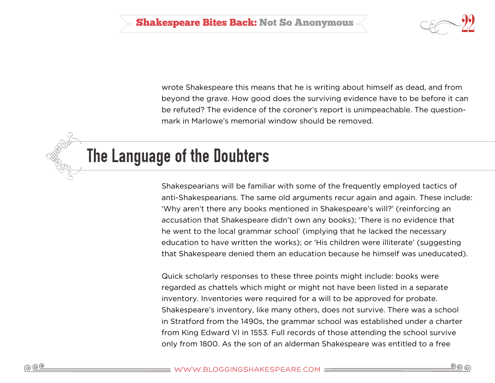![](_page_21_Picture_1.jpeg)

wrote Shakespeare this means that he is writing about himself as dead, and from beyond the grave. How good does the surviving evidence have to be before it can be refuted? The evidence of the coroner's report is unimpeachable. The questionmark in Marlowe's memorial window should be removed.

### <span id="page-21-0"></span>The Language of the Doubters

Shakespearians will be familiar with some of the frequently employed tactics of anti-Shakespearians. The same old arguments recur again and again. These include: 'Why aren't there any books mentioned in Shakespeare's will?' (reinforcing an accusation that Shakespeare didn't own any books); 'There is no evidence that he went to the local grammar school' (implying that he lacked the necessary education to have written the works); or 'His children were illiterate' (suggesting that Shakespeare denied them an education because he himself was uneducated).

Quick scholarly responses to these three points might include: books were regarded as chattels which might or might not have been listed in a separate inventory. Inventories were required for a will to be approved for probate. Shakespeare's inventory, like many others, does not survive. There was a school in Stratford from the 1490s, the grammar school was established under a charter from King Edward VI in 1553. Full records of those attending the school survive only from 1800. As the son of an alderman Shakespeare was entitled to a free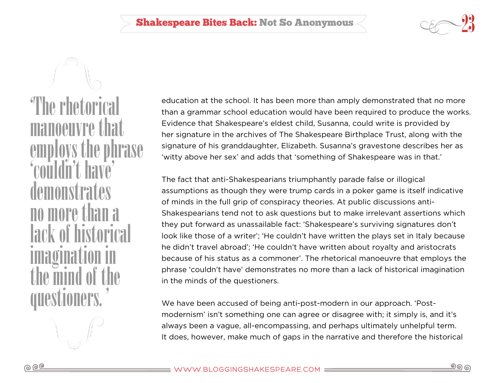![](_page_22_Picture_1.jpeg)

'The rhetorical manoeuvre that employs the phrase 'couldn't have' demonstrates no more than a lack of histori imagination in the mind of the questioners. '

education at the school. It has been more than amply demonstrated that no more than a grammar school education would have been required to produce the works. Evidence that Shakespeare's eldest child, Susanna, could write is provided by her signature in the archives of The Shakespeare Birthplace Trust, along with the signature of his granddaughter, Elizabeth. Susanna's gravestone describes her as 'witty above her sex' and adds that 'something of Shakespeare was in that.'

The fact that anti-Shakespearians triumphantly parade false or illogical assumptions as though they were trump cards in a poker game is itself indicative of minds in the full grip of conspiracy theories. At public discussions anti-Shakespearians tend not to ask questions but to make irrelevant assertions which they put forward as unassailable fact: 'Shakespeare's surviving signatures don't look like those of a writer'; 'He couldn't have written the plays set in Italy because he didn't travel abroad'; 'He couldn't have written about royalty and aristocrats because of his status as a commoner'. The rhetorical manoeuvre that employs the phrase 'couldn't have' demonstrates no more than a lack of historical imagination in the minds of the questioners.

We have been accused of being anti-post-modern in our approach. 'Postmodernism' isn't something one can agree or disagree with; it simply is, and it's always been a vague, all-encompassing, and perhaps ultimately unhelpful term. It does, however, make much of gaps in the narrative and therefore the historical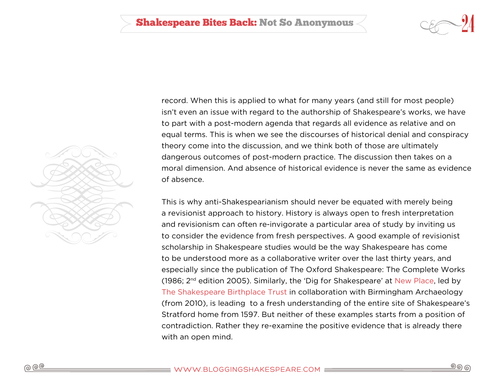![](_page_23_Picture_1.jpeg)

![](_page_23_Picture_2.jpeg)

record. When this is applied to what for many years (and still for most people) isn't even an issue with regard to the authorship of Shakespeare's works, we have to part with a post-modern agenda that regards all evidence as relative and on equal terms. This is when we see the discourses of historical denial and conspiracy theory come into the discussion, and we think both of those are ultimately dangerous outcomes of post-modern practice. The discussion then takes on a moral dimension. And absence of historical evidence is never the same as evidence of absence.

This is why anti-Shakespearianism should never be equated with merely being a revisionist approach to history. History is always open to fresh interpretation and revisionism can often re-invigorate a particular area of study by inviting us to consider the evidence from fresh perspectives. A good example of revisionist scholarship in Shakespeare studies would be the way Shakespeare has come to be understood more as a collaborative writer over the last thirty years, and especially since the publication of The Oxford Shakespeare: The Complete Works (1986; 2nd edition 2005). Similarly, the 'Dig for Shakespeare' at [New Place](http://rememberingshakespeare.com), led by [The Shakespeare Birthplace Trust](http://www.shakespeare.org.uk) in collaboration with Birmingham Archaeology (from 2010), is leading to a fresh understanding of the entire site of Shakespeare's Stratford home from 1597. But neither of these examples starts from a position of contradiction. Rather they re-examine the positive evidence that is already there with an open mind.

ூ ெ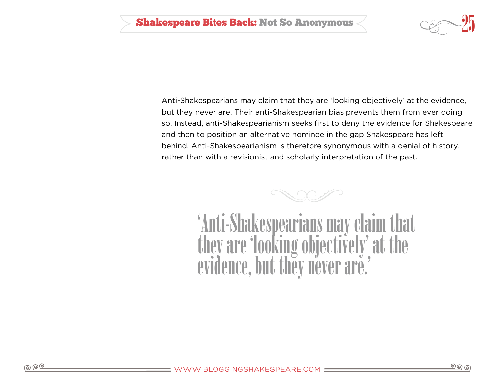![](_page_24_Picture_1.jpeg)

Anti-Shakespearians may claim that they are 'looking objectively' at the evidence, but they never are. Their anti-Shakespearian bias prevents them from ever doing so. Instead, anti-Shakespearianism seeks first to deny the evidence for Shakespeare and then to position an alternative nominee in the gap Shakespeare has left behind. Anti-Shakespearianism is therefore synonymous with a denial of history, rather than with a revisionist and scholarly interpretation of the past.

![](_page_24_Picture_3.jpeg)

'Anti-Shakespearians may clai they are 'looking objectively' at the evidence, but they never are.'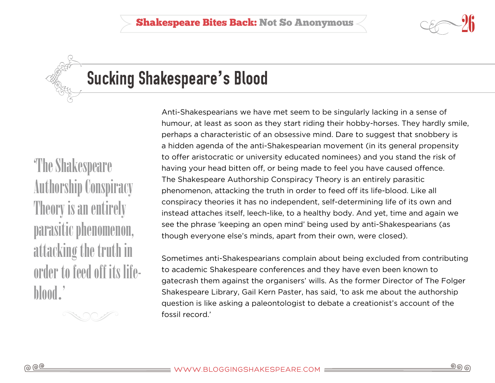![](_page_25_Picture_1.jpeg)

<span id="page-25-0"></span>

# Sucking Shakespeare**'**s Blood

'The Shakespeare Authorship Conspiracy Theory is an entirely parasitic phenomenon, attacking the truth in order to feed off its lifeblood.'

Anti-Shakespearians we have met seem to be singularly lacking in a sense of humour, at least as soon as they start riding their hobby-horses. They hardly smile, perhaps a characteristic of an obsessive mind. Dare to suggest that snobbery is a hidden agenda of the anti-Shakespearian movement (in its general propensity to offer aristocratic or university educated nominees) and you stand the risk of having your head bitten off, or being made to feel you have caused offence. The Shakespeare Authorship Conspiracy Theory is an entirely parasitic phenomenon, attacking the truth in order to feed off its life-blood. Like all conspiracy theories it has no independent, self-determining life of its own and instead attaches itself, leech-like, to a healthy body. And yet, time and again we see the phrase 'keeping an open mind' being used by anti-Shakespearians (as though everyone else's minds, apart from their own, were closed).

Sometimes anti-Shakespearians complain about being excluded from contributing to academic Shakespeare conferences and they have even been known to gatecrash them against the organisers' wills. As the former Director of The Folger Shakespeare Library, Gail Kern Paster, has said, 'to ask me about the authorship question is like asking a paleontologist to debate a creationist's account of the fossil record.'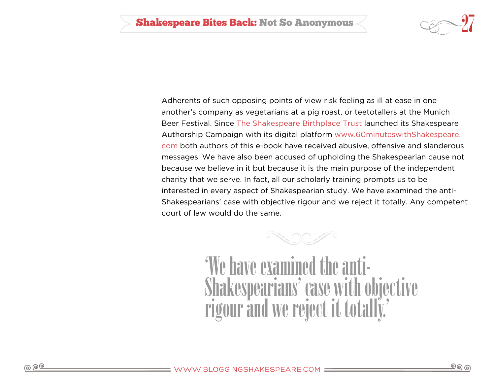![](_page_26_Picture_1.jpeg)

Adherents of such opposing points of view risk feeling as ill at ease in one another's company as vegetarians at a pig roast, or teetotallers at the Munich Beer Festival. Since [The Shakespeare Birthplace Trust](http://shakespeare.org.uk) launched its Shakespeare Authorship Campaign with its digital platform [www.60minuteswithShakespeare.](http://60-minutes.bloggingshakespeare.com/) [com](http://60-minutes.bloggingshakespeare.com/) both authors of this e-book have received abusive, offensive and slanderous messages. We have also been accused of upholding the Shakespearian cause not because we believe in it but because it is the main purpose of the independent charity that we serve. In fact, all our scholarly training prompts us to be interested in every aspect of Shakespearian study. We have examined the anti-Shakespearians' case with objective rigour and we reject it totally. Any competent court of law would do the same.

![](_page_26_Picture_3.jpeg)

'We have examined the anti-Shakespearians' case with objective rigour and we reject it totally.'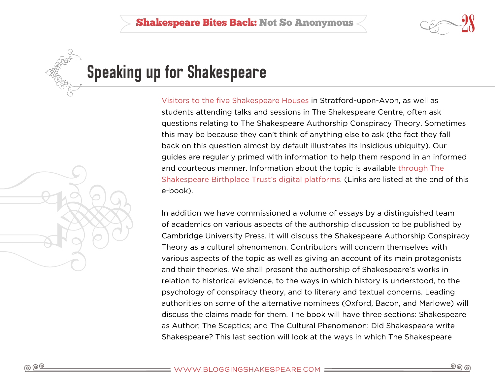![](_page_27_Picture_1.jpeg)

<span id="page-27-0"></span>![](_page_27_Picture_2.jpeg)

## Speaking up for Shakespeare

[Visitors to the five Shakespeare Houses](http://livingshakespeare.com) in Stratford-upon-Avon, as well as students attending talks and sessions in The Shakespeare Centre, often ask questions relating to The Shakespeare Authorship Conspiracy Theory. Sometimes this may be because they can't think of anything else to ask (the fact they fall back on this question almost by default illustrates its insidious ubiquity). Our guides are regularly primed with information to help them respond in an informed and courteous manner. Information about the topic is available [through The](http://bloggingshakespeare.com/?s=authorship)  [Shakespeare Birthplace Trust's digital platforms](http://bloggingshakespeare.com/?s=authorship). (Links are listed at the end of this e-book).

In addition we have commissioned a volume of essays by a distinguished team of academics on various aspects of the authorship discussion to be published by Cambridge University Press. It will discuss the Shakespeare Authorship Conspiracy Theory as a cultural phenomenon. Contributors will concern themselves with various aspects of the topic as well as giving an account of its main protagonists and their theories. We shall present the authorship of Shakespeare's works in relation to historical evidence, to the ways in which history is understood, to the psychology of conspiracy theory, and to literary and textual concerns. Leading authorities on some of the alternative nominees (Oxford, Bacon, and Marlowe) will discuss the claims made for them. The book will have three sections: Shakespeare as Author; The Sceptics; and The Cultural Phenomenon: Did Shakespeare write Shakespeare? This last section will look at the ways in which The Shakespeare

![](_page_27_Picture_6.jpeg)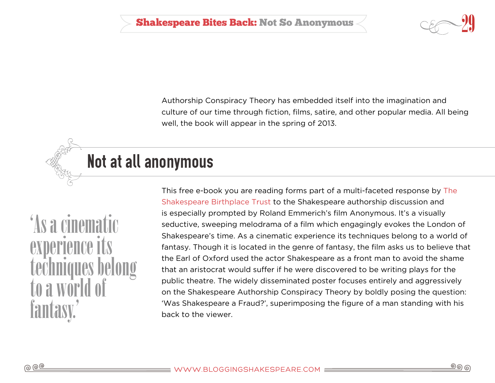![](_page_28_Picture_1.jpeg)

Authorship Conspiracy Theory has embedded itself into the imagination and culture of our time through fiction, films, satire, and other popular media. All being well, the book will appear in the spring of 2013.

<span id="page-28-0"></span>![](_page_28_Picture_3.jpeg)

'As a cinematic experience techniques belong to a wor fantasy.'

This free e-book you are reading forms part of a multi-faceted response by [The](http://www.shakespeare.org.uk)  [Shakespeare Birthplace Trust](http://www.shakespeare.org.uk) to the Shakespeare authorship discussion and is especially prompted by Roland Emmerich's film Anonymous. It's a visually seductive, sweeping melodrama of a film which engagingly evokes the London of Shakespeare's time. As a cinematic experience its techniques belong to a world of fantasy. Though it is located in the genre of fantasy, the film asks us to believe that the Earl of Oxford used the actor Shakespeare as a front man to avoid the shame that an aristocrat would suffer if he were discovered to be writing plays for the public theatre. The widely disseminated poster focuses entirely and aggressively on the Shakespeare Authorship Conspiracy Theory by boldly posing the question: 'Was Shakespeare a Fraud?', superimposing the figure of a man standing with his back to the viewer.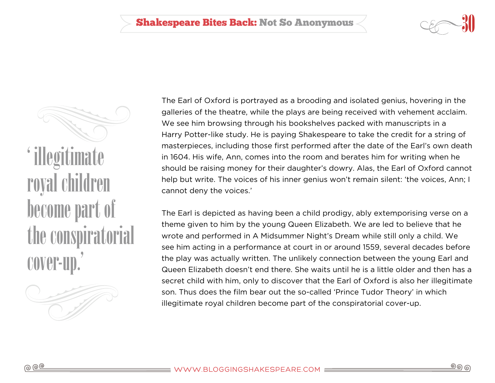![](_page_29_Picture_1.jpeg)

' illegitimate royal children become part of the conspiratorial cover-up.'

![](_page_29_Picture_3.jpeg)

The Earl of Oxford is portrayed as a brooding and isolated genius, hovering in the galleries of the theatre, while the plays are being received with vehement acclaim. We see him browsing through his bookshelves packed with manuscripts in a Harry Potter-like study. He is paying Shakespeare to take the credit for a string of masterpieces, including those first performed after the date of the Earl's own death in 1604. His wife, Ann, comes into the room and berates him for writing when he should be raising money for their daughter's dowry. Alas, the Earl of Oxford cannot help but write. The voices of his inner genius won't remain silent: 'the voices, Ann; I cannot deny the voices.'

The Earl is depicted as having been a child prodigy, ably extemporising verse on a theme given to him by the young Queen Elizabeth. We are led to believe that he wrote and performed in A Midsummer Night's Dream while still only a child. We see him acting in a performance at court in or around 1559, several decades before the play was actually written. The unlikely connection between the young Earl and Queen Elizabeth doesn't end there. She waits until he is a little older and then has a secret child with him, only to discover that the Earl of Oxford is also her illegitimate son. Thus does the film bear out the so-called 'Prince Tudor Theory' in which illegitimate royal children become part of the conspiratorial cover-up.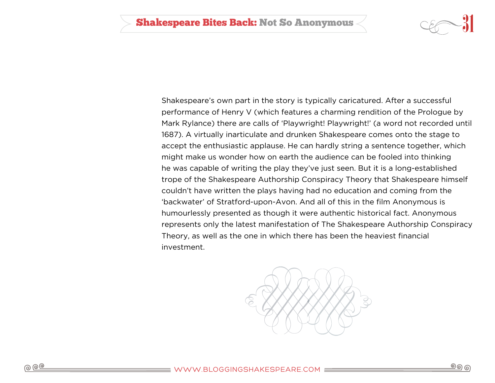![](_page_30_Picture_1.jpeg)

Shakespeare's own part in the story is typically caricatured. After a successful performance of Henry V (which features a charming rendition of the Prologue by Mark Rylance) there are calls of 'Playwright! Playwright!' (a word not recorded until 1687). A virtually inarticulate and drunken Shakespeare comes onto the stage to accept the enthusiastic applause. He can hardly string a sentence together, which might make us wonder how on earth the audience can be fooled into thinking he was capable of writing the play they've just seen. But it is a long-established trope of the Shakespeare Authorship Conspiracy Theory that Shakespeare himself couldn't have written the plays having had no education and coming from the 'backwater' of Stratford-upon-Avon. And all of this in the film Anonymous is humourlessly presented as though it were authentic historical fact. Anonymous represents only the latest manifestation of The Shakespeare Authorship Conspiracy Theory, as well as the one in which there has been the heaviest financial investment.

![](_page_30_Picture_3.jpeg)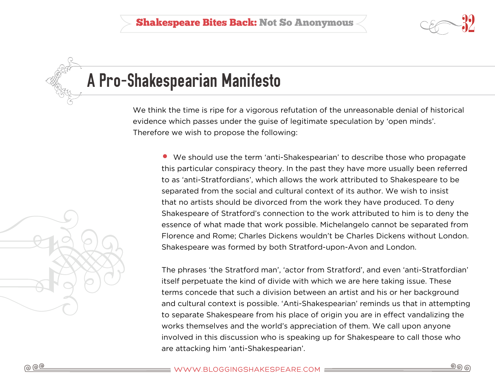![](_page_31_Figure_1.jpeg)

## <span id="page-31-0"></span>A Pro-Shakespearian Manifesto

We think the time is ripe for a vigorous refutation of the unreasonable denial of historical evidence which passes under the guise of legitimate speculation by 'open minds'. Therefore we wish to propose the following:

• We should use the term 'anti-Shakespearian' to describe those who propagate this particular conspiracy theory. In the past they have more usually been referred to as 'anti-Stratfordians', which allows the work attributed to Shakespeare to be separated from the social and cultural context of its author. We wish to insist that no artists should be divorced from the work they have produced. To deny Shakespeare of Stratford's connection to the work attributed to him is to deny the essence of what made that work possible. Michelangelo cannot be separated from Florence and Rome; Charles Dickens wouldn't be Charles Dickens without London. Shakespeare was formed by both Stratford-upon-Avon and London.

The phrases 'the Stratford man', 'actor from Stratford', and even 'anti-Stratfordian' itself perpetuate the kind of divide with which we are here taking issue. These terms concede that such a division between an artist and his or her background and cultural context is possible. 'Anti-Shakespearian' reminds us that in attempting to separate Shakespeare from his place of origin you are in effect vandalizing the works themselves and the world's appreciation of them. We call upon anyone involved in this discussion who is speaking up for Shakespeare to call those who are attacking him 'anti-Shakespearian'.

![](_page_31_Picture_6.jpeg)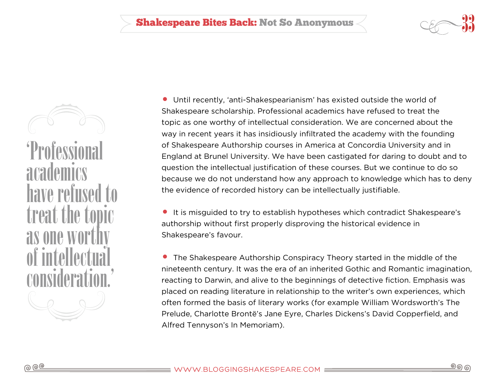![](_page_32_Picture_1.jpeg)

'Professio academics have refused to treat the topic as one wor of intell consideration.'

• Until recently, 'anti-Shakespearianism' has existed outside the world of Shakespeare scholarship. Professional academics have refused to treat the topic as one worthy of intellectual consideration. We are concerned about the way in recent years it has insidiously infiltrated the academy with the founding of Shakespeare Authorship courses in America at Concordia University and in England at Brunel University. We have been castigated for daring to doubt and to question the intellectual justification of these courses. But we continue to do so because we do not understand how any approach to knowledge which has to deny the evidence of recorded history can be intellectually justifiable.

• It is misguided to try to establish hypotheses which contradict Shakespeare's authorship without first properly disproving the historical evidence in Shakespeare's favour.

• The Shakespeare Authorship Conspiracy Theory started in the middle of the nineteenth century. It was the era of an inherited Gothic and Romantic imagination, reacting to Darwin, and alive to the beginnings of detective fiction. Emphasis was placed on reading literature in relationship to the writer's own experiences, which often formed the basis of literary works (for example William Wordsworth's The Prelude, Charlotte Brontë's Jane Eyre, Charles Dickens's David Copperfield, and Alfred Tennyson's In Memoriam).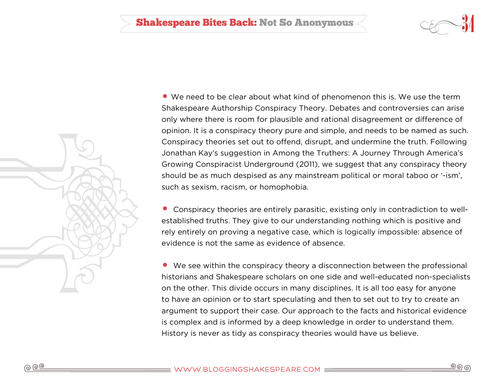![](_page_33_Picture_1.jpeg)

![](_page_33_Picture_2.jpeg)

• We need to be clear about what kind of phenomenon this is. We use the term Shakespeare Authorship Conspiracy Theory. Debates and controversies can arise only where there is room for plausible and rational disagreement or difference of opinion. It is a conspiracy theory pure and simple, and needs to be named as such. Conspiracy theories set out to offend, disrupt, and undermine the truth. Following Jonathan Kay's suggestion in Among the Truthers: A Journey Through America's Growing Conspiracist Underground (2011), we suggest that any conspiracy theory should be as much despised as any mainstream political or moral taboo or '-ism', such as sexism, racism, or homophobia.

• Conspiracy theories are entirely parasitic, existing only in contradiction to wellestablished truths. They give to our understanding nothing which is positive and rely entirely on proving a negative case, which is logically impossible: absence of evidence is not the same as evidence of absence.

• We see within the conspiracy theory a disconnection between the professional historians and Shakespeare scholars on one side and well-educated non-specialists on the other. This divide occurs in many disciplines. It is all too easy for anyone to have an opinion or to start speculating and then to set out to try to create an argument to support their case. Our approach to the facts and historical evidence is complex and is informed by a deep knowledge in order to understand them. History is never as tidy as conspiracy theories would have us believe.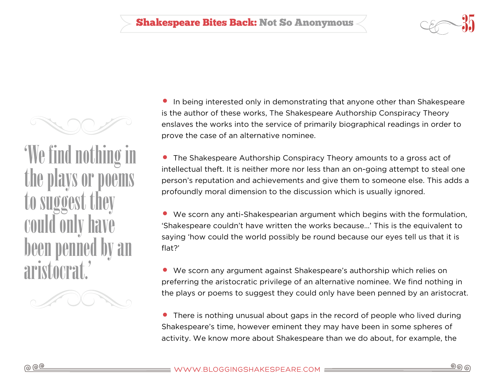![](_page_34_Picture_1.jpeg)

![](_page_34_Picture_2.jpeg)

• In being interested only in demonstrating that anyone other than Shakespeare is the author of these works, The Shakespeare Authorship Conspiracy Theory enslaves the works into the service of primarily biographical readings in order to prove the case of an alternative nominee.

• The Shakespeare Authorship Conspiracy Theory amounts to a gross act of intellectual theft. It is neither more nor less than an on-going attempt to steal one person's reputation and achievements and give them to someone else. This adds a profoundly moral dimension to the discussion which is usually ignored.

• We scorn any anti-Shakespearian argument which begins with the formulation, 'Shakespeare couldn't have written the works because…' This is the equivalent to saying 'how could the world possibly be round because our eyes tell us that it is flat?'

• We scorn any argument against Shakespeare's authorship which relies on preferring the aristocratic privilege of an alternative nominee. We find nothing in the plays or poems to suggest they could only have been penned by an aristocrat.

• There is nothing unusual about gaps in the record of people who lived during Shakespeare's time, however eminent they may have been in some spheres of activity. We know more about Shakespeare than we do about, for example, the

aristocrat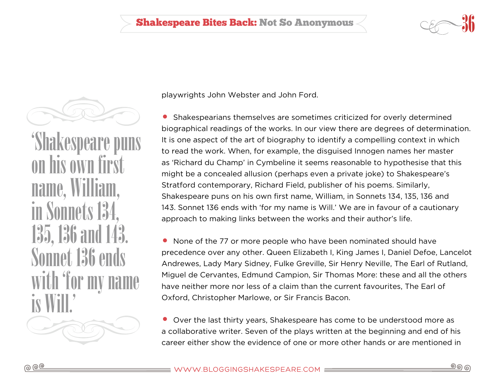![](_page_35_Picture_1.jpeg)

![](_page_35_Picture_2.jpeg)

'Shakespeare puns his own name, William, in Sonnets 13 135, 136 an Sonnet 136 ends with 'for my name is Will.'

playwrights John Webster and John Ford.

• Shakespearians themselves are sometimes criticized for overly determined biographical readings of the works. In our view there are degrees of determination. It is one aspect of the art of biography to identify a compelling context in which to read the work. When, for example, the disguised Innogen names her master as 'Richard du Champ' in Cymbeline it seems reasonable to hypothesise that this might be a concealed allusion (perhaps even a private joke) to Shakespeare's Stratford contemporary, Richard Field, publisher of his poems. Similarly, Shakespeare puns on his own first name, William, in Sonnets 134, 135, 136 and 143. Sonnet 136 ends with 'for my name is Will.' We are in favour of a cautionary approach to making links between the works and their author's life.

• None of the 77 or more people who have been nominated should have precedence over any other. Queen Elizabeth I, King James I, Daniel Defoe, Lancelot Andrewes, Lady Mary Sidney, Fulke Greville, Sir Henry Neville, The Earl of Rutland, Miguel de Cervantes, Edmund Campion, Sir Thomas More: these and all the others have neither more nor less of a claim than the current favourites, The Earl of Oxford, Christopher Marlowe, or Sir Francis Bacon.

• Over the last thirty years, Shakespeare has come to be understood more as a collaborative writer. Seven of the plays written at the beginning and end of his career either show the evidence of one or more other hands or are mentioned in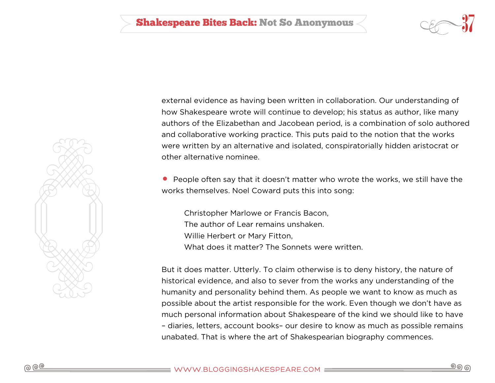![](_page_36_Picture_1.jpeg)

![](_page_36_Picture_2.jpeg)

external evidence as having been written in collaboration. Our understanding of how Shakespeare wrote will continue to develop; his status as author, like many authors of the Elizabethan and Jacobean period, is a combination of solo authored and collaborative working practice. This puts paid to the notion that the works were written by an alternative and isolated, conspiratorially hidden aristocrat or other alternative nominee.

• People often say that it doesn't matter who wrote the works, we still have the works themselves. Noel Coward puts this into song:

Christopher Marlowe or Francis Bacon, The author of Lear remains unshaken. Willie Herbert or Mary Fitton, What does it matter? The Sonnets were written.

But it does matter. Utterly. To claim otherwise is to deny history, the nature of historical evidence, and also to sever from the works any understanding of the humanity and personality behind them. As people we want to know as much as possible about the artist responsible for the work. Even though we don't have as much personal information about Shakespeare of the kind we should like to have – diaries, letters, account books– our desire to know as much as possible remains unabated. That is where the art of Shakespearian biography commences.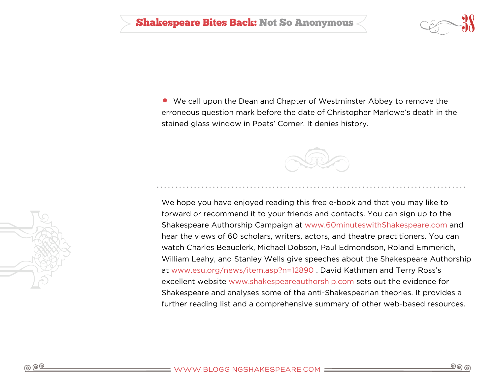• We call upon the Dean and Chapter of Westminster Abbey to remove the erroneous question mark before the date of Christopher Marlowe's death in the stained glass window in Poets' Corner. It denies history.

![](_page_37_Picture_2.jpeg)

We hope you have enjoyed reading this free e-book and that you may like to forward or recommend it to your friends and contacts. You can sign up to the Shakespeare Authorship Campaign at [www.60minuteswithShakespeare.com](http://www.60minuteswithshakespeare.com/) and hear the views of 60 scholars, writers, actors, and theatre practitioners. You can watch Charles Beauclerk, Michael Dobson, Paul Edmondson, Roland Emmerich, William Leahy, and Stanley Wells give speeches about the Shakespeare Authorship at [www.esu.org/news/item.asp?n=12890 .](http://www.esu.org/news/item.asp?n=12890) David Kathman and Terry Ross's excellent website [www.shakespeareauthorship.com](http://www.shakespeareauthorship.com/) sets out the evidence for Shakespeare and analyses some of the anti-Shakespearian theories. It provides a further reading list and a comprehensive summary of other web-based resources.

![](_page_37_Figure_4.jpeg)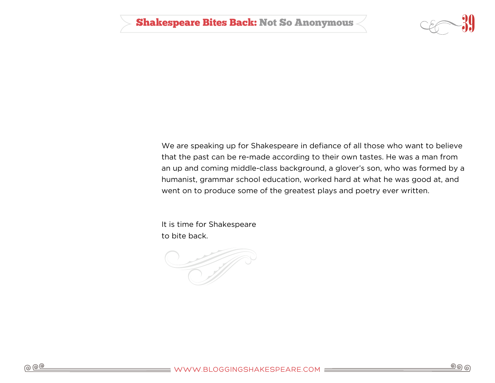![](_page_38_Picture_1.jpeg)

We are speaking up for Shakespeare in defiance of all those who want to believe that the past can be re-made according to their own tastes. He was a man from an up and coming middle-class background, a glover's son, who was formed by a humanist, grammar school education, worked hard at what he was good at, and went on to produce some of the greatest plays and poetry ever written.

It is time for Shakespeare to bite back.

![](_page_38_Picture_4.jpeg)